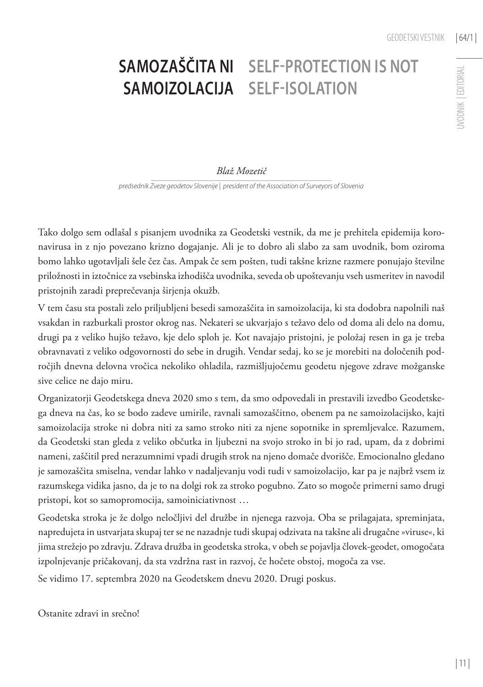## **JVODNIK | EDITORIAL** UVODNIK | EDITORIAL

## **Samozaščita ni samoizolacija Self-protection is not self-isolation**

## *Blaž Mozetič*

*predsednik Zveze geodetov Slovenije | president of the Association of Surveyors of Slovenia*

Tako dolgo sem odlašal s pisanjem uvodnika za Geodetski vestnik, da me je prehitela epidemija koronavirusa in z njo povezano krizno dogajanje. Ali je to dobro ali slabo za sam uvodnik, bom oziroma bomo lahko ugotavljali šele čez čas. Ampak če sem pošten, tudi takšne krizne razmere ponujajo številne priložnosti in iztočnice za vsebinska izhodišča uvodnika, seveda ob upoštevanju vseh usmeritev in navodil pristojnih zaradi preprečevanja širjenja okužb.

V tem času sta postali zelo priljubljeni besedi samozaščita in samoizolacija, ki sta dodobra napolnili naš vsakdan in razburkali prostor okrog nas. Nekateri se ukvarjajo s težavo delo od doma ali delo na domu, drugi pa z veliko hujšo težavo, kje delo sploh je. Kot navajajo pristojni, je položaj resen in ga je treba obravnavati z veliko odgovornosti do sebe in drugih. Vendar sedaj, ko se je morebiti na določenih področjih dnevna delovna vročica nekoliko ohladila, razmišljujočemu geodetu njegove zdrave možganske sive celice ne dajo miru.

Organizatorji Geodetskega dneva 2020 smo s tem, da smo odpovedali in prestavili izvedbo Geodetskega dneva na čas, ko se bodo zadeve umirile, ravnali samozaščitno, obenem pa ne samoizolacijsko, kajti samoizolacija stroke ni dobra niti za samo stroko niti za njene sopotnike in spremljevalce. Razumem, da Geodetski stan gleda z veliko občutka in ljubezni na svojo stroko in bi jo rad, upam, da z dobrimi nameni, zaščitil pred nerazumnimi vpadi drugih strok na njeno domače dvorišče. Emocionalno gledano je samozaščita smiselna, vendar lahko v nadaljevanju vodi tudi v samoizolacijo, kar pa je najbrž vsem iz razumskega vidika jasno, da je to na dolgi rok za stroko pogubno. Zato so mogoče primerni samo drugi pristopi, kot so samopromocija, samoiniciativnost …

Geodetska stroka je že dolgo neločljivi del družbe in njenega razvoja. Oba se prilagajata, spreminjata, napredujeta in ustvarjata skupaj ter se ne nazadnje tudi skupaj odzivata na takšne ali drugačne »viruse«, ki jima strežejo po zdravju. Zdrava družba in geodetska stroka, v obeh se pojavlja človek-geodet, omogočata izpolnjevanje pričakovanj, da sta vzdržna rast in razvoj, če hočete obstoj, mogoča za vse.

Se vidimo 17. septembra 2020 na Geodetskem dnevu 2020. Drugi poskus.

Ostanite zdravi in srečno!